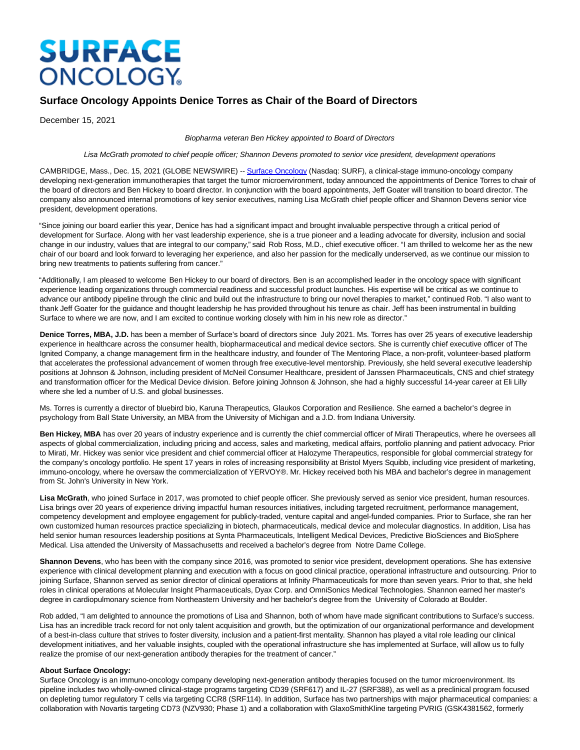# **SURFACE ONCOLOGY**

# **Surface Oncology Appoints Denice Torres as Chair of the Board of Directors**

December 15, 2021

## Biopharma veteran Ben Hickey appointed to Board of Directors

Lisa McGrath promoted to chief people officer; Shannon Devens promoted to senior vice president, development operations

CAMBRIDGE, Mass., Dec. 15, 2021 (GLOBE NEWSWIRE) -- [Surface Oncology \(](https://www.globenewswire.com/Tracker?data=dEBClKNJem5KbbyBnjCi4IL3_5Obp8jbaW8btg7YSsB3SZjvxim7kT6Vhck15ksA6yjhgfNwd6uq2WSKHynhahCMvmECBEWzhHOssXT9zr4=)Nasdaq: SURF), a clinical-stage immuno-oncology company developing next-generation immunotherapies that target the tumor microenvironment, today announced the appointments of Denice Torres to chair of the board of directors and Ben Hickey to board director. In conjunction with the board appointments, Jeff Goater will transition to board director. The company also announced internal promotions of key senior executives, naming Lisa McGrath chief people officer and Shannon Devens senior vice president, development operations.

"Since joining our board earlier this year, Denice has had a significant impact and brought invaluable perspective through a critical period of development for Surface. Along with her vast leadership experience, she is a true pioneer and a leading advocate for diversity, inclusion and social change in our industry, values that are integral to our company," said Rob Ross, M.D., chief executive officer. "I am thrilled to welcome her as the new chair of our board and look forward to leveraging her experience, and also her passion for the medically underserved, as we continue our mission to bring new treatments to patients suffering from cancer."

"Additionally, I am pleased to welcome Ben Hickey to our board of directors. Ben is an accomplished leader in the oncology space with significant experience leading organizations through commercial readiness and successful product launches. His expertise will be critical as we continue to advance our antibody pipeline through the clinic and build out the infrastructure to bring our novel therapies to market," continued Rob. "I also want to thank Jeff Goater for the guidance and thought leadership he has provided throughout his tenure as chair. Jeff has been instrumental in building Surface to where we are now, and I am excited to continue working closely with him in his new role as director."

**Denice Torres, MBA, J.D.** has been a member of Surface's board of directors since July 2021. Ms. Torres has over 25 years of executive leadership experience in healthcare across the consumer health, biopharmaceutical and medical device sectors. She is currently chief executive officer of The Ignited Company, a change management firm in the healthcare industry, and founder of The Mentoring Place, a non-profit, volunteer-based platform that accelerates the professional advancement of women through free executive-level mentorship. Previously, she held several executive leadership positions at Johnson & Johnson, including president of McNeil Consumer Healthcare, president of Janssen Pharmaceuticals, CNS and chief strategy and transformation officer for the Medical Device division. Before joining Johnson & Johnson, she had a highly successful 14-year career at Eli Lilly where she led a number of U.S. and global businesses.

Ms. Torres is currently a director of bluebird bio, Karuna Therapeutics, Glaukos Corporation and Resilience. She earned a bachelor's degree in psychology from Ball State University, an MBA from the University of Michigan and a J.D. from Indiana University.

Ben Hickey, MBA has over 20 years of industry experience and is currently the chief commercial officer of Mirati Therapeutics, where he oversees all aspects of global commercialization, including pricing and access, sales and marketing, medical affairs, portfolio planning and patient advocacy. Prior to Mirati, Mr. Hickey was senior vice president and chief commercial officer at Halozyme Therapeutics, responsible for global commercial strategy for the company's oncology portfolio. He spent 17 years in roles of increasing responsibility at Bristol Myers Squibb, including vice president of marketing, immuno-oncology, where he oversaw the commercialization of YERVOY®. Mr. Hickey received both his MBA and bachelor's degree in management from St. John's University in New York.

**Lisa McGrath**, who joined Surface in 2017, was promoted to chief people officer. She previously served as senior vice president, human resources. Lisa brings over 20 years of experience driving impactful human resources initiatives, including targeted recruitment, performance management, competency development and employee engagement for publicly-traded, venture capital and angel-funded companies. Prior to Surface, she ran her own customized human resources practice specializing in biotech, pharmaceuticals, medical device and molecular diagnostics. In addition, Lisa has held senior human resources leadership positions at Synta Pharmaceuticals, Intelligent Medical Devices, Predictive BioSciences and BioSphere Medical. Lisa attended the University of Massachusetts and received a bachelor's degree from Notre Dame College.

**Shannon Devens**, who has been with the company since 2016, was promoted to senior vice president, development operations. She has extensive experience with clinical development planning and execution with a focus on good clinical practice, operational infrastructure and outsourcing. Prior to joining Surface, Shannon served as senior director of clinical operations at Infinity Pharmaceuticals for more than seven years. Prior to that, she held roles in clinical operations at Molecular Insight Pharmaceuticals, Dyax Corp. and OmniSonics Medical Technologies. Shannon earned her master's degree in cardiopulmonary science from Northeastern University and her bachelor's degree from the University of Colorado at Boulder.

Rob added, "I am delighted to announce the promotions of Lisa and Shannon, both of whom have made significant contributions to Surface's success. Lisa has an incredible track record for not only talent acquisition and growth, but the optimization of our organizational performance and development of a best-in-class culture that strives to foster diversity, inclusion and a patient-first mentality. Shannon has played a vital role leading our clinical development initiatives, and her valuable insights, coupled with the operational infrastructure she has implemented at Surface, will allow us to fully realize the promise of our next-generation antibody therapies for the treatment of cancer."

# **About Surface Oncology:**

Surface Oncology is an immuno-oncology company developing next-generation antibody therapies focused on the tumor microenvironment. Its pipeline includes two wholly-owned clinical-stage programs targeting CD39 (SRF617) and IL-27 (SRF388), as well as a preclinical program focused on depleting tumor regulatory T cells via targeting CCR8 (SRF114). In addition, Surface has two partnerships with major pharmaceutical companies: a collaboration with Novartis targeting CD73 (NZV930; Phase 1) and a collaboration with GlaxoSmithKline targeting PVRIG (GSK4381562, formerly